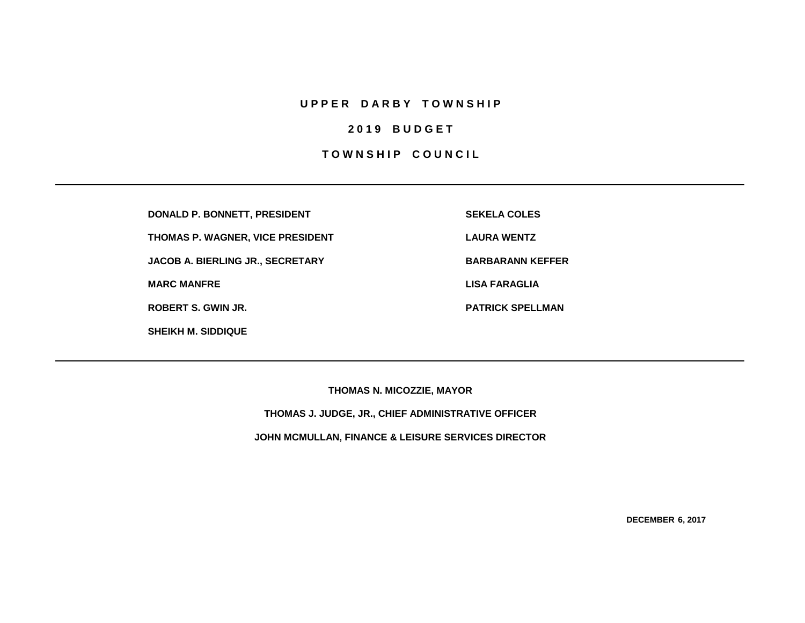## **U P P E R D A R B Y T O W N S H I P**

# **2 0 1 9 B U D G E T**

# **TOWNSHIP COUNCIL**

**DONALD P. BONNETT, PRESIDENT SEKELA COLES**

**THOMAS P. WAGNER, VICE PRESIDENT LAURA WENTZ**

**JACOB A. BIERLING JR., SECRETARY BARBARANN KEFFER** 

**SHEIKH M. SIDDIQUE**

**MARC MANFRE LISA FARAGLIA**

**ROBERT S. GWIN JR. PATRICK SPELLMAN**

**THOMAS N. MICOZZIE, MAYOR**

**THOMAS J. JUDGE, JR., CHIEF ADMINISTRATIVE OFFICER**

**JOHN MCMULLAN, FINANCE & LEISURE SERVICES DIRECTOR**

**DECEMBER 6, 2017**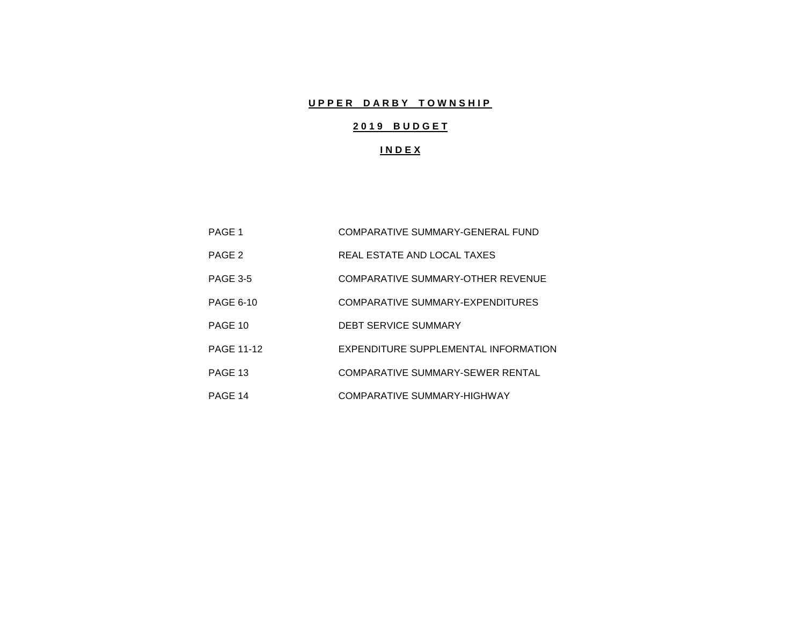# **UPPER DARBY TOWNSHIP**

# **2 0 1 9 B U D G E T**

## **I N D E X**

| PAGE 1            | COMPARATIVE SUMMARY-GENERAL FUND     |
|-------------------|--------------------------------------|
| PAGE 2            | REAL ESTATE AND LOCAL TAXES          |
| <b>PAGE 3-5</b>   | COMPARATIVE SUMMARY-OTHER REVENUE    |
| <b>PAGE 6-10</b>  | COMPARATIVE SUMMARY-EXPENDITURES     |
| PAGE 10           | <b>DEBT SERVICE SUMMARY</b>          |
| <b>PAGE 11-12</b> | EXPENDITURE SUPPLEMENTAL INFORMATION |
| PAGE 13           | COMPARATIVE SUMMARY-SEWER RENTAL     |
| PAGE 14           | COMPARATIVE SUMMARY-HIGHWAY          |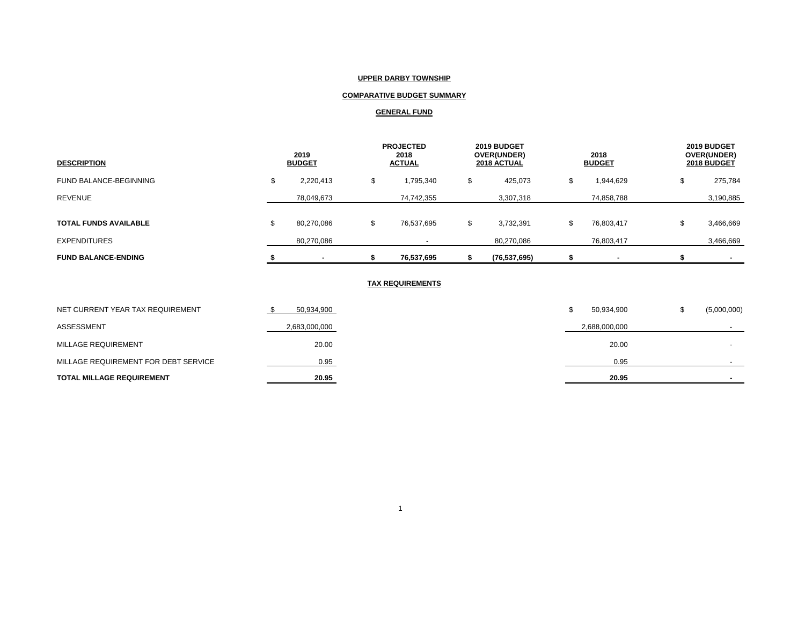### **UPPER DARBY TOWNSHIP**

## **COMPARATIVE BUDGET SUMMARY**

### **GENERAL FUND**

| <b>DESCRIPTION</b>           | 2019<br><b>BUDGET</b> |            |    | <b>PROJECTED</b><br>2018<br><b>ACTUAL</b> |   | 2019 BUDGET<br><b>OVER(UNDER)</b><br>2018 ACTUAL |   | 2018<br><b>BUDGET</b> |   | 2019 BUDGET<br>OVER(UNDER)<br>2018 BUDGET |
|------------------------------|-----------------------|------------|----|-------------------------------------------|---|--------------------------------------------------|---|-----------------------|---|-------------------------------------------|
| FUND BALANCE-BEGINNING       |                       | 2,220,413  | \$ | 1,795,340                                 | S | 425,073                                          | S | 1,944,629             | J | 275,784                                   |
| <b>REVENUE</b>               |                       | 78,049,673 |    | 74,742,355                                |   | 3,307,318                                        |   | 74,858,788            |   | 3,190,885                                 |
| <b>TOTAL FUNDS AVAILABLE</b> |                       | 80,270,086 | Φ  | 76,537,695                                |   | 3,732,391                                        |   | 76,803,417            | ъ | 3,466,669                                 |
| <b>EXPENDITURES</b>          |                       | 80,270,086 |    |                                           |   | 80,270,086                                       |   | 76,803,417            |   | 3,466,669                                 |
| <b>FUND BALANCE-ENDING</b>   |                       |            |    | 76,537,695                                |   | (76, 537, 695)                                   |   |                       |   |                                           |

### **TAX REQUIREMENTS**

| <b>TOTAL MILLAGE REQUIREMENT</b>     | 20.95         | 20.95         |             |
|--------------------------------------|---------------|---------------|-------------|
| MILLAGE REQUIREMENT FOR DEBT SERVICE | 0.95          | 0.95          |             |
| MILLAGE REQUIREMENT                  | 20.00         | 20.00         |             |
| ASSESSMENT                           | 2,683,000,000 | 2,688,000,000 |             |
| NET CURRENT YEAR TAX REQUIREMENT     | 50,934,900    | 50,934,900    | (5,000,000) |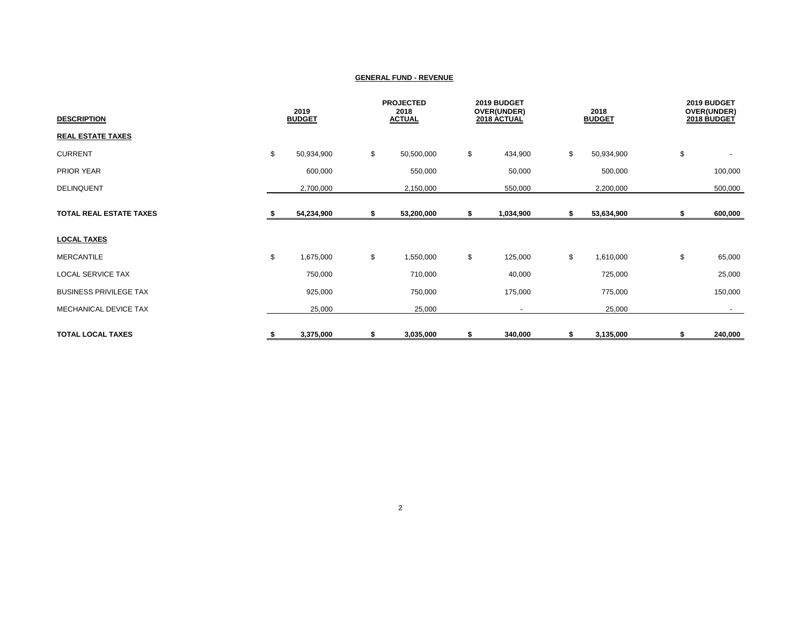| <b>DESCRIPTION</b>             | 2019<br><b>BUDGET</b> |            | <b>PROJECTED</b><br>2018<br><b>ACTUAL</b> |    | 2019 BUDGET<br>OVER(UNDER)<br>2018 ACTUAL |    | 2018<br><b>BUDGET</b> |    | 2019 BUDGET<br>OVER(UNDER)<br>2018 BUDGET |  |
|--------------------------------|-----------------------|------------|-------------------------------------------|----|-------------------------------------------|----|-----------------------|----|-------------------------------------------|--|
| <b>REAL ESTATE TAXES</b>       |                       |            |                                           |    |                                           |    |                       |    |                                           |  |
| <b>CURRENT</b>                 | \$                    | 50,934,900 | \$<br>50,500,000                          | \$ | 434,900                                   | \$ | 50,934,900            | \$ |                                           |  |
| PRIOR YEAR                     |                       | 600,000    | 550,000                                   |    | 50,000                                    |    | 500,000               |    | 100,000                                   |  |
| DELINQUENT                     |                       | 2,700,000  | 2,150,000                                 |    | 550,000                                   |    | 2,200,000             |    | 500,000                                   |  |
| <b>TOTAL REAL ESTATE TAXES</b> |                       | 54,234,900 | \$<br>53,200,000                          | \$ | 1,034,900                                 | S  | 53,634,900            | S  | 600,000                                   |  |
| <b>LOCAL TAXES</b>             |                       |            |                                           |    |                                           |    |                       |    |                                           |  |
| <b>MERCANTILE</b>              | \$                    | 1,675,000  | \$<br>1,550,000                           | \$ | 125,000                                   | \$ | 1,610,000             | \$ | 65,000                                    |  |
| <b>LOCAL SERVICE TAX</b>       |                       | 750,000    | 710,000                                   |    | 40,000                                    |    | 725,000               |    | 25,000                                    |  |
| <b>BUSINESS PRIVILEGE TAX</b>  |                       | 925,000    | 750,000                                   |    | 175,000                                   |    | 775,000               |    | 150,000                                   |  |
| MECHANICAL DEVICE TAX          |                       | 25,000     | 25,000                                    |    | $\blacksquare$                            |    | 25,000                |    | $\sim$                                    |  |
| <b>TOTAL LOCAL TAXES</b>       | \$                    | 3,375,000  | \$<br>3,035,000                           | \$ | 340,000                                   | \$ | 3,135,000             | S  | 240,000                                   |  |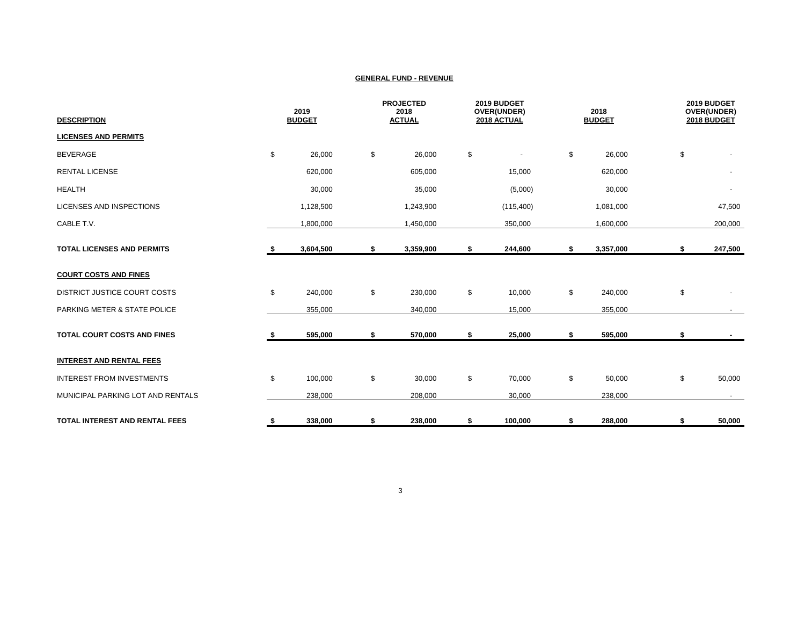| <b>DESCRIPTION</b>                    | 2019<br><b>BUDGET</b> |           | <b>PROJECTED</b><br>2018<br><b>ACTUAL</b> |    | 2019 BUDGET<br>OVER(UNDER)<br>2018 ACTUAL |    | 2018<br><b>BUDGET</b> |    | 2019 BUDGET<br>OVER(UNDER)<br>2018 BUDGET |  |
|---------------------------------------|-----------------------|-----------|-------------------------------------------|----|-------------------------------------------|----|-----------------------|----|-------------------------------------------|--|
| <b>LICENSES AND PERMITS</b>           |                       |           |                                           |    |                                           |    |                       |    |                                           |  |
| <b>BEVERAGE</b>                       | \$                    | 26,000    | \$<br>26,000                              | \$ |                                           | \$ | 26,000                | \$ |                                           |  |
| <b>RENTAL LICENSE</b>                 |                       | 620,000   | 605,000                                   |    | 15,000                                    |    | 620,000               |    | $\blacksquare$                            |  |
| <b>HEALTH</b>                         |                       | 30,000    | 35,000                                    |    | (5,000)                                   |    | 30,000                |    | $\overline{\phantom{a}}$                  |  |
| LICENSES AND INSPECTIONS              |                       | 1,128,500 | 1,243,900                                 |    | (115, 400)                                |    | 1,081,000             |    | 47,500                                    |  |
| CABLE T.V.                            |                       | 1,800,000 | 1,450,000                                 |    | 350,000                                   |    | 1,600,000             |    | 200,000                                   |  |
| <b>TOTAL LICENSES AND PERMITS</b>     | - 5                   | 3,604,500 | \$<br>3,359,900                           | \$ | 244,600                                   | \$ | 3,357,000             | \$ | 247,500                                   |  |
| <b>COURT COSTS AND FINES</b>          |                       |           |                                           |    |                                           |    |                       |    |                                           |  |
| <b>DISTRICT JUSTICE COURT COSTS</b>   | \$                    | 240,000   | \$<br>230,000                             | \$ | 10,000                                    | \$ | 240,000               | \$ |                                           |  |
| PARKING METER & STATE POLICE          |                       | 355,000   | 340,000                                   |    | 15,000                                    |    | 355,000               |    |                                           |  |
| <b>TOTAL COURT COSTS AND FINES</b>    |                       | 595,000   | \$<br>570,000                             | \$ | 25,000                                    | \$ | 595,000               | \$ |                                           |  |
| <b>INTEREST AND RENTAL FEES</b>       |                       |           |                                           |    |                                           |    |                       |    |                                           |  |
| <b>INTEREST FROM INVESTMENTS</b>      | \$                    | 100,000   | \$<br>30,000                              | \$ | 70,000                                    | \$ | 50,000                | \$ | 50,000                                    |  |
| MUNICIPAL PARKING LOT AND RENTALS     |                       | 238,000   | 208,000                                   |    | 30,000                                    |    | 238,000               |    |                                           |  |
| <b>TOTAL INTEREST AND RENTAL FEES</b> | \$                    | 338,000   | \$<br>238,000                             | \$ | 100,000                                   | \$ | 288,000               | \$ | 50,000                                    |  |

3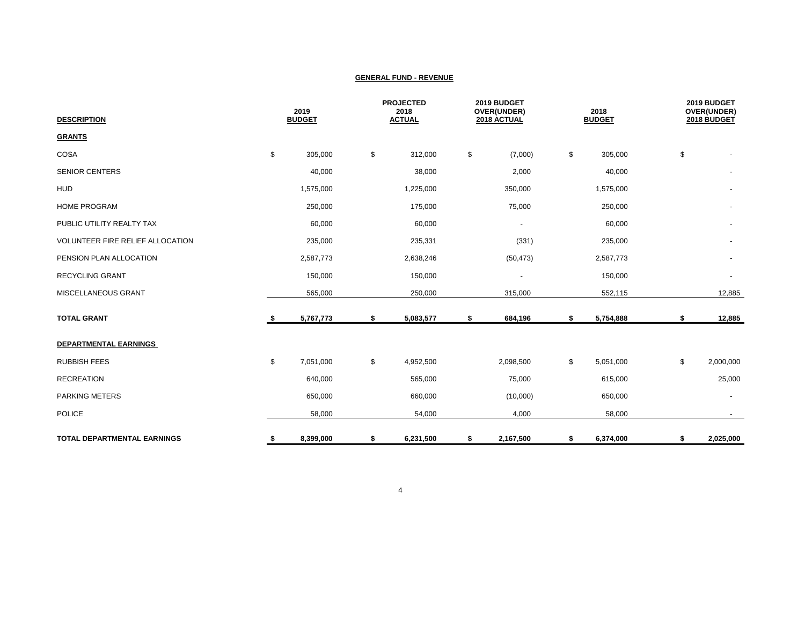| <b>DESCRIPTION</b>                 |    | 2019<br><b>BUDGET</b> |    | <b>PROJECTED</b><br>2018<br><b>ACTUAL</b> |    | 2019 BUDGET<br>OVER(UNDER)<br>2018 ACTUAL |    | 2018<br><b>BUDGET</b> |    | 2019 BUDGET<br>OVER(UNDER)<br>2018 BUDGET |  |
|------------------------------------|----|-----------------------|----|-------------------------------------------|----|-------------------------------------------|----|-----------------------|----|-------------------------------------------|--|
| <b>GRANTS</b>                      |    |                       |    |                                           |    |                                           |    |                       |    |                                           |  |
| COSA                               | \$ | 305,000               | \$ | 312,000                                   | \$ | (7,000)                                   | \$ | 305,000               | \$ |                                           |  |
| <b>SENIOR CENTERS</b>              |    | 40,000                |    | 38,000                                    |    | 2,000                                     |    | 40,000                |    |                                           |  |
| <b>HUD</b>                         |    | 1,575,000             |    | 1,225,000                                 |    | 350,000                                   |    | 1,575,000             |    |                                           |  |
| <b>HOME PROGRAM</b>                |    | 250,000               |    | 175,000                                   |    | 75,000                                    |    | 250,000               |    |                                           |  |
| PUBLIC UTILITY REALTY TAX          |    | 60,000                |    | 60,000                                    |    | $\overline{\phantom{a}}$                  |    | 60,000                |    |                                           |  |
| VOLUNTEER FIRE RELIEF ALLOCATION   |    | 235,000               |    | 235,331                                   |    | (331)                                     |    | 235,000               |    |                                           |  |
| PENSION PLAN ALLOCATION            |    | 2,587,773             |    | 2,638,246                                 |    | (50, 473)                                 |    | 2,587,773             |    |                                           |  |
| <b>RECYCLING GRANT</b>             |    | 150,000               |    | 150,000                                   |    | $\blacksquare$                            |    | 150,000               |    |                                           |  |
| MISCELLANEOUS GRANT                |    | 565,000               |    | 250,000                                   |    | 315,000                                   |    | 552,115               |    | 12,885                                    |  |
| <b>TOTAL GRANT</b>                 | s. | 5,767,773             | \$ | 5,083,577                                 | \$ | 684,196                                   | \$ | 5,754,888             | \$ | 12,885                                    |  |
| DEPARTMENTAL EARNINGS              |    |                       |    |                                           |    |                                           |    |                       |    |                                           |  |
| <b>RUBBISH FEES</b>                | \$ | 7,051,000             | \$ | 4,952,500                                 |    | 2,098,500                                 | \$ | 5,051,000             | \$ | 2,000,000                                 |  |
| <b>RECREATION</b>                  |    | 640,000               |    | 565,000                                   |    | 75,000                                    |    | 615,000               |    | 25,000                                    |  |
| <b>PARKING METERS</b>              |    | 650,000               |    | 660,000                                   |    | (10,000)                                  |    | 650,000               |    |                                           |  |
| <b>POLICE</b>                      |    | 58,000                |    | 54,000                                    |    | 4,000                                     |    | 58,000                |    | $\sim$                                    |  |
| <b>TOTAL DEPARTMENTAL EARNINGS</b> | \$ | 8,399,000             | \$ | 6,231,500                                 | \$ | 2,167,500                                 | \$ | 6,374,000             | \$ | 2,025,000                                 |  |

4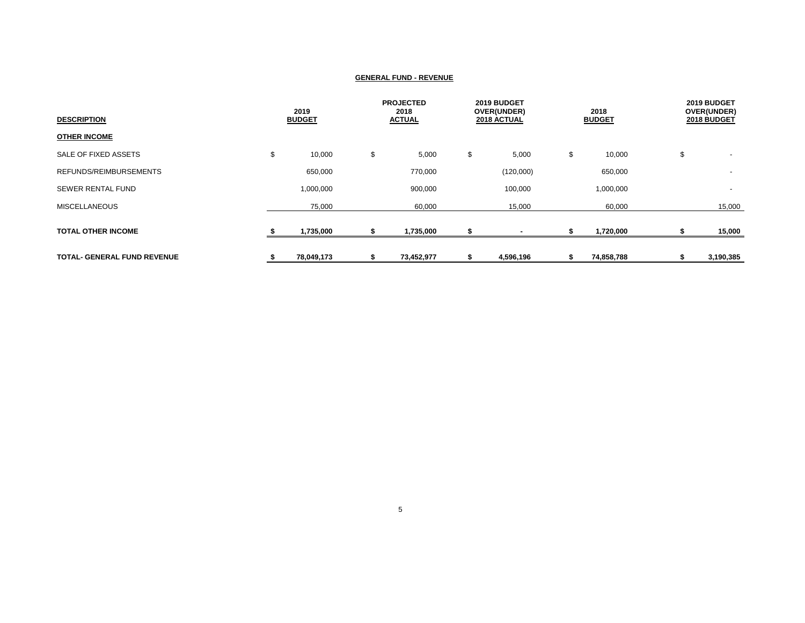| <b>DESCRIPTION</b>                 | 2019<br><b>BUDGET</b> |    | <b>PROJECTED</b><br>2018<br><b>ACTUAL</b> |    | 2019 BUDGET<br>OVER(UNDER)<br>2018 ACTUAL |    | 2018<br><b>BUDGET</b> |    | 2019 BUDGET<br>OVER(UNDER)<br>2018 BUDGET |
|------------------------------------|-----------------------|----|-------------------------------------------|----|-------------------------------------------|----|-----------------------|----|-------------------------------------------|
| <b>OTHER INCOME</b>                |                       |    |                                           |    |                                           |    |                       |    |                                           |
| SALE OF FIXED ASSETS               | \$<br>10,000          | \$ | 5,000                                     | \$ | 5,000                                     | \$ | 10,000                | \$ |                                           |
| REFUNDS/REIMBURSEMENTS             | 650,000               |    | 770,000                                   |    | (120,000)                                 |    | 650,000               |    | $\overline{a}$                            |
| <b>SEWER RENTAL FUND</b>           | 1,000,000             |    | 900,000                                   |    | 100,000                                   |    | 1,000,000             |    |                                           |
| <b>MISCELLANEOUS</b>               | 75,000                |    | 60,000                                    |    | 15,000                                    |    | 60,000                |    | 15,000                                    |
| <b>TOTAL OTHER INCOME</b>          | 1,735,000             |    | 1,735,000                                 |    |                                           |    | 1,720,000             |    | 15,000                                    |
| <b>TOTAL- GENERAL FUND REVENUE</b> | 78,049,173            | ъ  | 73,452,977                                |    | 4,596,196                                 | ъ  | 74,858,788            |    | 3,190,385                                 |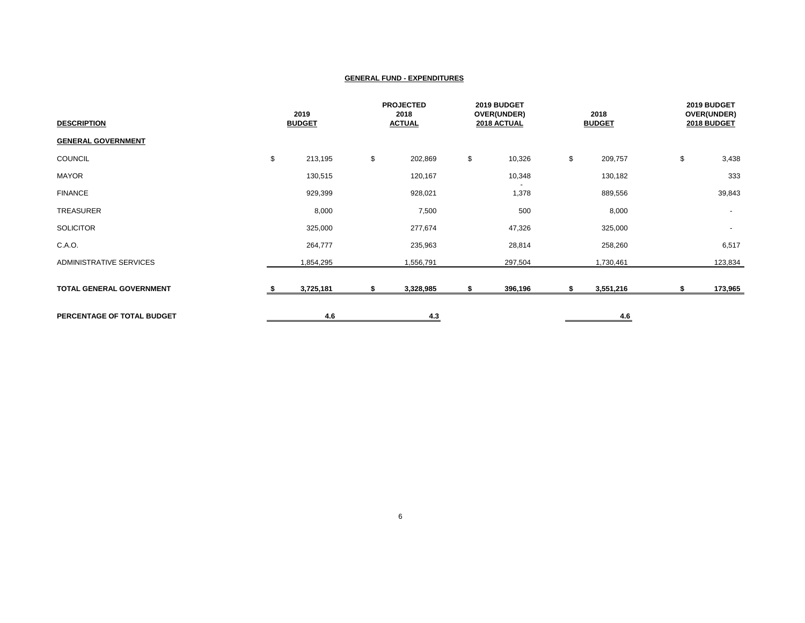| <b>DESCRIPTION</b>         | 2019<br><b>BUDGET</b> |    | <b>PROJECTED</b><br>2018<br><b>ACTUAL</b> |    | 2019 BUDGET<br>OVER(UNDER)<br>2018 ACTUAL |    | 2018<br><b>BUDGET</b> |    | 2019 BUDGET<br>OVER(UNDER)<br>2018 BUDGET |  |
|----------------------------|-----------------------|----|-------------------------------------------|----|-------------------------------------------|----|-----------------------|----|-------------------------------------------|--|
| <b>GENERAL GOVERNMENT</b>  |                       |    |                                           |    |                                           |    |                       |    |                                           |  |
| COUNCIL                    | \$<br>213,195         | \$ | 202,869                                   | \$ | 10,326                                    | \$ | 209,757               | \$ | 3,438                                     |  |
| <b>MAYOR</b>               | 130,515               |    | 120,167                                   |    | 10,348                                    |    | 130,182               |    | 333                                       |  |
| <b>FINANCE</b>             | 929,399               |    | 928,021                                   |    | 1,378                                     |    | 889,556               |    | 39,843                                    |  |
| TREASURER                  | 8,000                 |    | 7,500                                     |    | 500                                       |    | 8,000                 |    | $\sim$                                    |  |
| <b>SOLICITOR</b>           | 325,000               |    | 277,674                                   |    | 47,326                                    |    | 325,000               |    | $\sim$                                    |  |
| C.A.O.                     | 264,777               |    | 235,963                                   |    | 28,814                                    |    | 258,260               |    | 6,517                                     |  |
| ADMINISTRATIVE SERVICES    | 1,854,295             |    | 1,556,791                                 |    | 297,504                                   |    | 1,730,461             |    | 123,834                                   |  |
| TOTAL GENERAL GOVERNMENT   | 3,725,181             | \$ | 3,328,985                                 | S  | 396,196                                   | s. | 3,551,216             | \$ | 173,965                                   |  |
| PERCENTAGE OF TOTAL BUDGET | 4.6                   |    | 4.3                                       |    |                                           |    | 4.6                   |    |                                           |  |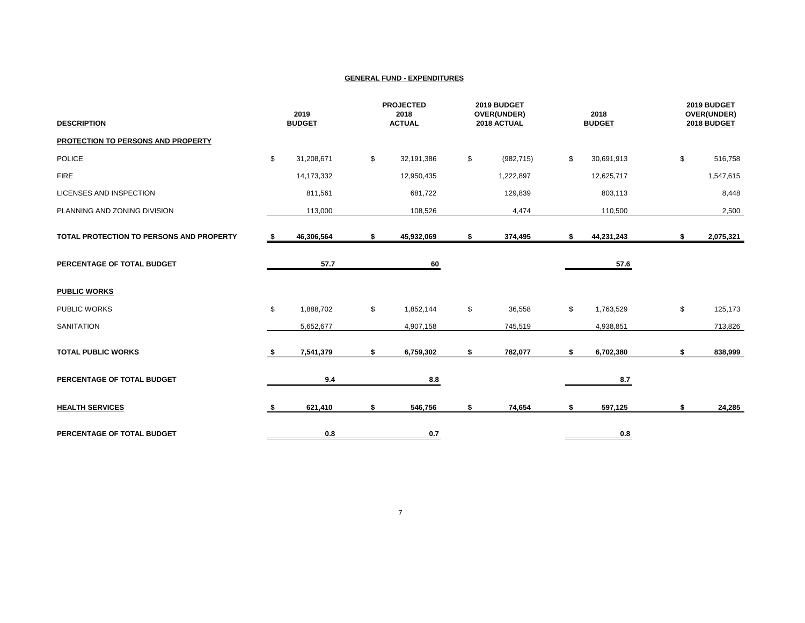| <b>DESCRIPTION</b>                       |      | 2019<br><b>BUDGET</b> |    | <b>PROJECTED</b><br>2018<br><b>ACTUAL</b> |    | 2019 BUDGET<br>OVER(UNDER)<br>2018 ACTUAL |    | 2018<br><b>BUDGET</b> | 2019 BUDGET<br>OVER(UNDER)<br>2018 BUDGET |           |
|------------------------------------------|------|-----------------------|----|-------------------------------------------|----|-------------------------------------------|----|-----------------------|-------------------------------------------|-----------|
| PROTECTION TO PERSONS AND PROPERTY       |      |                       |    |                                           |    |                                           |    |                       |                                           |           |
| <b>POLICE</b>                            | \$   | 31,208,671            | \$ | 32,191,386                                | \$ | (982, 715)                                | \$ | 30,691,913            | \$                                        | 516,758   |
| <b>FIRE</b>                              |      | 14,173,332            |    | 12,950,435                                |    | 1,222,897                                 |    | 12,625,717            |                                           | 1,547,615 |
| <b>LICENSES AND INSPECTION</b>           |      | 811,561               |    | 681,722                                   |    | 129,839                                   |    | 803,113               |                                           | 8,448     |
| PLANNING AND ZONING DIVISION             |      | 113,000               |    | 108,526                                   |    | 4,474                                     |    | 110,500               |                                           | 2,500     |
| TOTAL PROTECTION TO PERSONS AND PROPERTY | - \$ | 46,306,564            | \$ | 45,932,069                                | \$ | 374,495                                   | \$ | 44,231,243            | \$                                        | 2,075,321 |
| PERCENTAGE OF TOTAL BUDGET               |      | 57.7                  |    | 60                                        |    |                                           |    | 57.6                  |                                           |           |
| <b>PUBLIC WORKS</b>                      |      |                       |    |                                           |    |                                           |    |                       |                                           |           |
| <b>PUBLIC WORKS</b>                      | \$   | 1,888,702             | \$ | 1,852,144                                 | \$ | 36,558                                    | \$ | 1,763,529             | \$                                        | 125,173   |
| <b>SANITATION</b>                        |      | 5,652,677             |    | 4,907,158                                 |    | 745,519                                   |    | 4,938,851             |                                           | 713,826   |
| <b>TOTAL PUBLIC WORKS</b>                |      | 7,541,379             | \$ | 6,759,302                                 | s. | 782,077                                   | \$ | 6,702,380             | \$                                        | 838,999   |
| PERCENTAGE OF TOTAL BUDGET               |      | 9.4                   |    | 8.8                                       |    |                                           |    | 8.7                   |                                           |           |
| <b>HEALTH SERVICES</b>                   | \$   | 621,410               | \$ | 546,756                                   | \$ | 74,654                                    | \$ | 597,125               | \$                                        | 24,285    |
| PERCENTAGE OF TOTAL BUDGET               |      | 0.8                   |    | 0.7                                       |    |                                           |    | 0.8                   |                                           |           |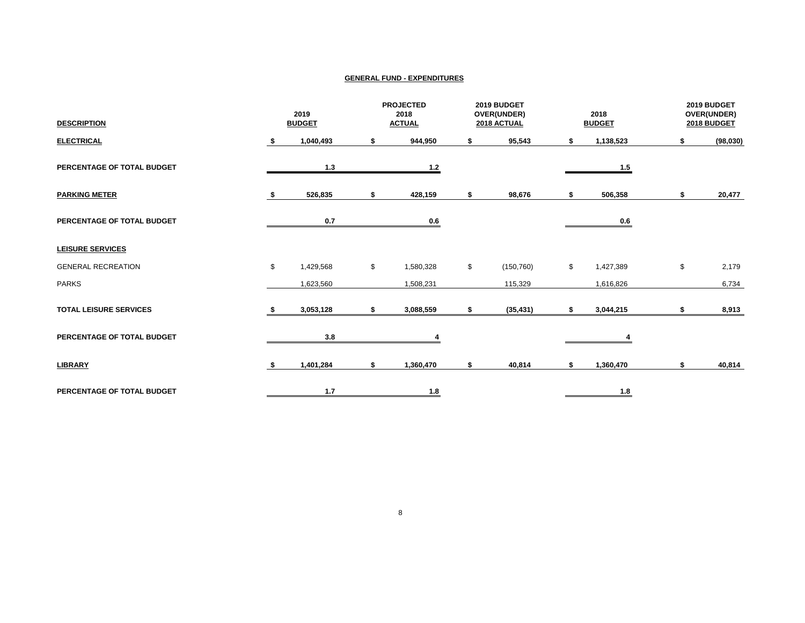| <b>DESCRIPTION</b>            | 2019<br><b>BUDGET</b> |           | <b>PROJECTED</b><br>2018<br><b>ACTUAL</b> |           | 2019 BUDGET<br>OVER(UNDER)<br>2018 ACTUAL |            |    | 2018<br><b>BUDGET</b>      | 2019 BUDGET<br>OVER(UNDER)<br>2018 BUDGET |           |
|-------------------------------|-----------------------|-----------|-------------------------------------------|-----------|-------------------------------------------|------------|----|----------------------------|-------------------------------------------|-----------|
| <b>ELECTRICAL</b>             | s.                    | 1,040,493 | \$                                        | 944,950   |                                           | 95,543     | S  | 1,138,523                  | 5.                                        | (98, 030) |
| PERCENTAGE OF TOTAL BUDGET    |                       | 1.3       |                                           | $1.2$     |                                           |            |    | 1.5                        |                                           |           |
| <b>PARKING METER</b>          |                       | 526,835   | \$                                        | 428,159   | S                                         | 98,676     |    | 506,358                    | \$                                        | 20,477    |
| PERCENTAGE OF TOTAL BUDGET    |                       | 0.7       |                                           | 0.6       |                                           |            |    | 0.6                        |                                           |           |
| <b>LEISURE SERVICES</b>       |                       |           |                                           |           |                                           |            |    |                            |                                           |           |
| <b>GENERAL RECREATION</b>     | \$                    | 1,429,568 | \$                                        | 1,580,328 | \$                                        | (150, 760) | \$ | 1,427,389                  | \$                                        | 2,179     |
| <b>PARKS</b>                  |                       | 1,623,560 |                                           | 1,508,231 |                                           | 115,329    |    | 1,616,826                  |                                           | 6,734     |
| <b>TOTAL LEISURE SERVICES</b> |                       | 3,053,128 | \$                                        | 3,088,559 | \$                                        | (35, 431)  | S  | 3,044,215                  | \$                                        | 8,913     |
| PERCENTAGE OF TOTAL BUDGET    |                       | 3.8       |                                           |           |                                           |            |    |                            |                                           |           |
| <b>LIBRARY</b>                | s.                    | 1,401,284 | \$                                        | 1,360,470 | \$                                        | 40,814     | \$ | 1,360,470                  | \$                                        | 40,814    |
| PERCENTAGE OF TOTAL BUDGET    |                       | 1.7       |                                           | 1.8       |                                           |            |    | $\underline{\mathbf{1.8}}$ |                                           |           |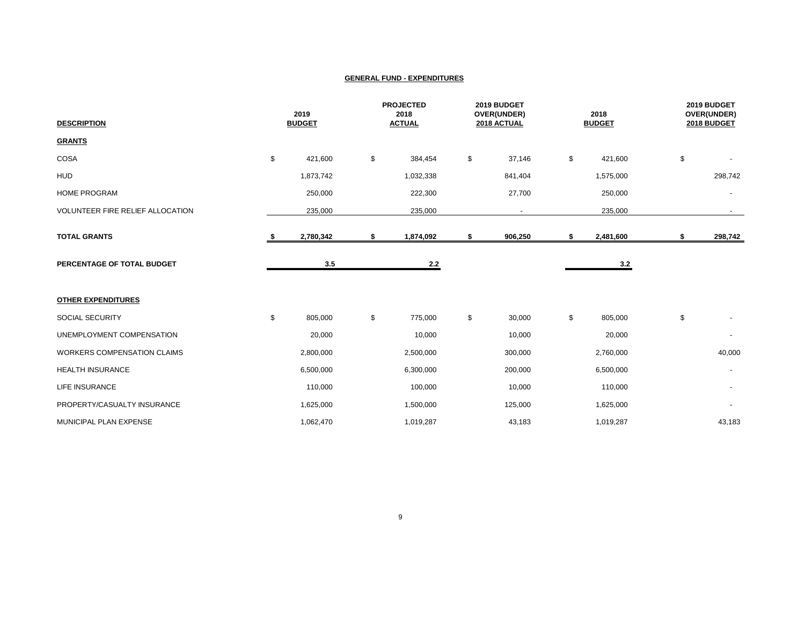| <b>DESCRIPTION</b>                 | 2019<br><b>BUDGET</b> |           | <b>PROJECTED</b><br>2018<br><b>ACTUAL</b> |    | 2019 BUDGET<br>OVER(UNDER)<br>2018 ACTUAL |    | 2018<br><b>BUDGET</b> |    | 2019 BUDGET<br>OVER(UNDER)<br>2018 BUDGET |  |
|------------------------------------|-----------------------|-----------|-------------------------------------------|----|-------------------------------------------|----|-----------------------|----|-------------------------------------------|--|
| <b>GRANTS</b>                      |                       |           |                                           |    |                                           |    |                       |    |                                           |  |
| COSA                               | \$                    | 421,600   | \$<br>384,454                             | \$ | 37,146                                    | \$ | 421,600               | \$ |                                           |  |
| <b>HUD</b>                         |                       | 1,873,742 | 1,032,338                                 |    | 841,404                                   |    | 1,575,000             |    | 298,742                                   |  |
| <b>HOME PROGRAM</b>                |                       | 250,000   | 222,300                                   |    | 27,700                                    |    | 250,000               |    | $\overline{\phantom{a}}$                  |  |
| VOLUNTEER FIRE RELIEF ALLOCATION   |                       | 235,000   | 235,000                                   |    | $\overline{\phantom{a}}$                  |    | 235,000               |    | $\sim$                                    |  |
| <b>TOTAL GRANTS</b>                | - 5                   | 2,780,342 | \$<br>1,874,092                           | \$ | 906,250                                   | \$ | 2,481,600             | \$ | 298,742                                   |  |
| PERCENTAGE OF TOTAL BUDGET         |                       | 3.5       | $2.2$                                     |    |                                           |    | 3.2                   |    |                                           |  |
| <b>OTHER EXPENDITURES</b>          |                       |           |                                           |    |                                           |    |                       |    |                                           |  |
| SOCIAL SECURITY                    | \$                    | 805,000   | \$<br>775,000                             | \$ | 30,000                                    | \$ | 805,000               | \$ |                                           |  |
| UNEMPLOYMENT COMPENSATION          |                       | 20,000    | 10,000                                    |    | 10,000                                    |    | 20,000                |    |                                           |  |
| <b>WORKERS COMPENSATION CLAIMS</b> |                       | 2,800,000 | 2,500,000                                 |    | 300,000                                   |    | 2,760,000             |    | 40,000                                    |  |
| <b>HEALTH INSURANCE</b>            |                       | 6,500,000 | 6,300,000                                 |    | 200,000                                   |    | 6,500,000             |    |                                           |  |
| <b>LIFE INSURANCE</b>              |                       | 110,000   | 100,000                                   |    | 10,000                                    |    | 110,000               |    |                                           |  |
| PROPERTY/CASUALTY INSURANCE        |                       | 1,625,000 | 1,500,000                                 |    | 125,000                                   |    | 1,625,000             |    |                                           |  |
| MUNICIPAL PLAN EXPENSE             |                       | 1,062,470 | 1,019,287                                 |    | 43,183                                    |    | 1,019,287             |    | 43,183                                    |  |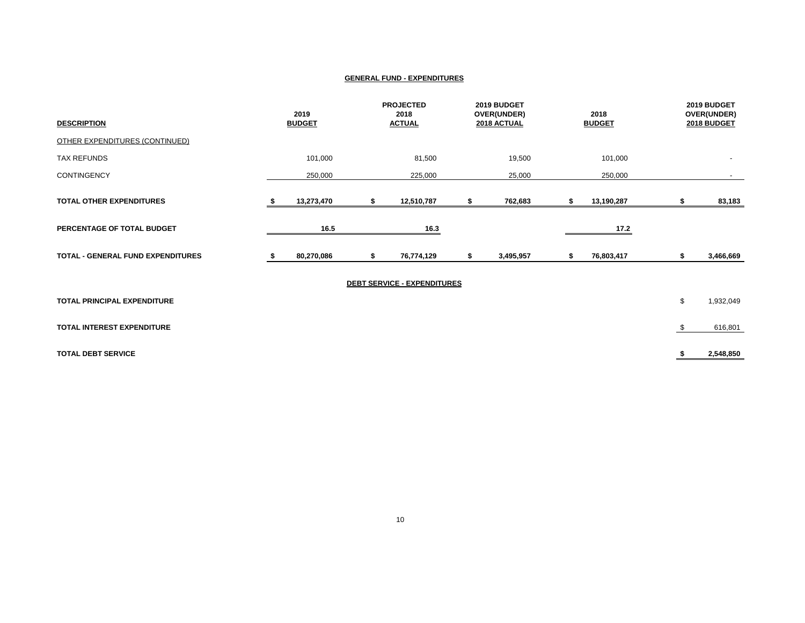| <b>DESCRIPTION</b>                       | 2019<br><b>BUDGET</b> |            | <b>PROJECTED</b><br>2018<br><b>ACTUAL</b> |   | 2019 BUDGET<br>OVER(UNDER)<br>2018 ACTUAL |    | 2018<br><b>BUDGET</b> | 2019 BUDGET<br>OVER(UNDER)<br>2018 BUDGET |           |
|------------------------------------------|-----------------------|------------|-------------------------------------------|---|-------------------------------------------|----|-----------------------|-------------------------------------------|-----------|
| <b>OTHER EXPENDITURES (CONTINUED)</b>    |                       |            |                                           |   |                                           |    |                       |                                           |           |
| <b>TAX REFUNDS</b>                       |                       | 101,000    | 81,500                                    |   | 19,500                                    |    | 101,000               |                                           |           |
| <b>CONTINGENCY</b>                       |                       | 250,000    | 225,000                                   |   | 25,000                                    |    | 250,000               |                                           |           |
| <b>TOTAL OTHER EXPENDITURES</b>          |                       | 13,273,470 | \$<br>12,510,787                          |   | 762,683                                   | s. | 13,190,287            |                                           | 83,183    |
| PERCENTAGE OF TOTAL BUDGET               |                       | 16.5       | 16.3                                      |   |                                           |    | 17.2                  |                                           |           |
| <b>TOTAL - GENERAL FUND EXPENDITURES</b> |                       | 80,270,086 | \$<br>76,774,129                          | s | 3,495,957                                 | s  | 76,803,417            | \$                                        | 3,466,669 |
|                                          |                       |            | <b>DEBT SERVICE - EXPENDITURES</b>        |   |                                           |    |                       |                                           |           |
| TOTAL PRINCIPAL EXPENDITURE              |                       |            |                                           |   |                                           |    |                       | \$                                        | 1,932,049 |
| TOTAL INTEREST EXPENDITURE               |                       |            |                                           |   |                                           |    |                       | \$                                        | 616,801   |
| <b>TOTAL DEBT SERVICE</b>                |                       |            |                                           |   |                                           |    |                       |                                           | 2,548,850 |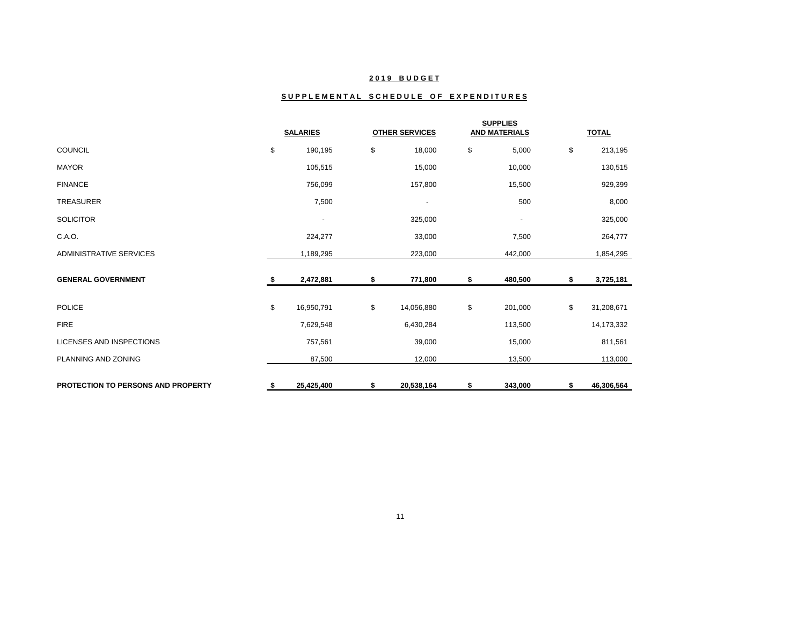## **2 0 1 9 B U D G E T**

## SUPPLEMENTAL SCHEDULE OF EXPENDITURES

|                                           | <b>SALARIES</b>          |    | <b>OTHER SERVICES</b>    |    | <b>SUPPLIES</b><br><b>AND MATERIALS</b> |    | <b>TOTAL</b> |
|-------------------------------------------|--------------------------|----|--------------------------|----|-----------------------------------------|----|--------------|
| <b>COUNCIL</b>                            | \$<br>190,195            | \$ | 18,000                   | \$ | 5,000                                   | \$ | 213,195      |
| <b>MAYOR</b>                              | 105,515                  |    | 15,000                   |    | 10,000                                  |    | 130,515      |
| <b>FINANCE</b>                            | 756,099                  |    | 157,800                  |    | 15,500                                  |    | 929,399      |
| <b>TREASURER</b>                          | 7,500                    |    | $\overline{\phantom{a}}$ |    | 500                                     |    | 8,000        |
| <b>SOLICITOR</b>                          | $\overline{\phantom{a}}$ |    | 325,000                  |    | $\overline{\phantom{a}}$                |    | 325,000      |
| C.A.O.                                    | 224,277                  |    | 33,000                   |    | 7,500                                   |    | 264,777      |
| <b>ADMINISTRATIVE SERVICES</b>            | 1,189,295                |    | 223,000                  |    | 442,000                                 |    | 1,854,295    |
| <b>GENERAL GOVERNMENT</b>                 | 2,472,881                | Я  | 771,800                  | s  | 480,500                                 | s  | 3,725,181    |
| <b>POLICE</b>                             | \$<br>16,950,791         | \$ | 14,056,880               | \$ | 201,000                                 | \$ | 31,208,671   |
| <b>FIRE</b>                               | 7,629,548                |    | 6,430,284                |    | 113,500                                 |    | 14,173,332   |
| <b>LICENSES AND INSPECTIONS</b>           | 757,561                  |    | 39,000                   |    | 15,000                                  |    | 811,561      |
| PLANNING AND ZONING                       | 87,500                   |    | 12,000                   |    | 13,500                                  |    | 113,000      |
| <b>PROTECTION TO PERSONS AND PROPERTY</b> | \$<br>25,425,400         | \$ | 20,538,164               | \$ | 343,000                                 | \$ | 46,306,564   |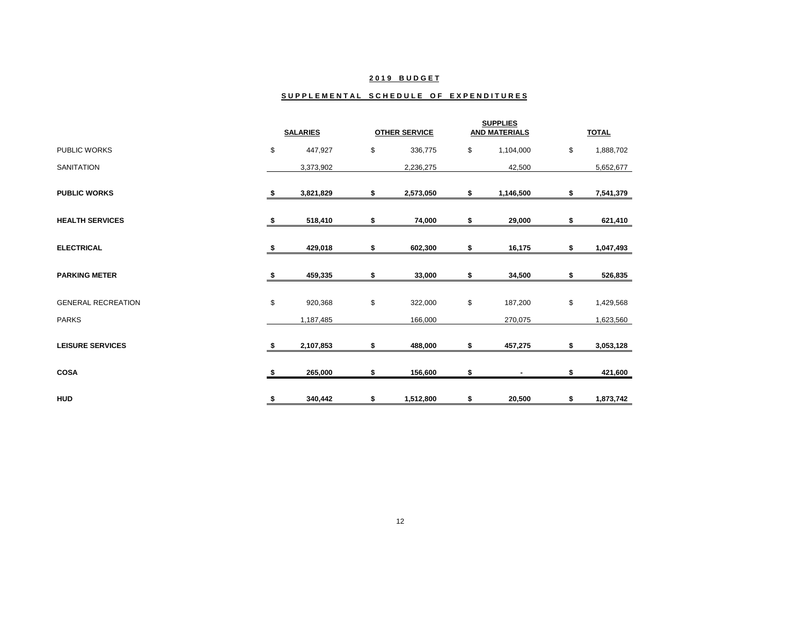## **2 0 1 9 B U D G E T**

#### SUPPLEMENTAL SCHEDULE OF EXPENDITURES

|                           |     | <b>SALARIES</b> | <b>OTHER SERVICE</b> | <b>SUPPLIES</b><br><b>AND MATERIALS</b> |    | <b>TOTAL</b> |
|---------------------------|-----|-----------------|----------------------|-----------------------------------------|----|--------------|
| <b>PUBLIC WORKS</b>       | \$  | 447,927         | \$<br>336,775        | \$<br>1,104,000                         | \$ | 1,888,702    |
| <b>SANITATION</b>         |     | 3,373,902       | 2,236,275            | 42,500                                  |    | 5,652,677    |
| <b>PUBLIC WORKS</b>       | S   | 3,821,829       | \$<br>2,573,050      | \$<br>1,146,500                         | \$ | 7,541,379    |
| <b>HEALTH SERVICES</b>    | - 5 | 518,410         | \$<br>74,000         | \$<br>29,000                            | \$ | 621,410      |
| <b>ELECTRICAL</b>         | -5  | 429,018         | \$<br>602,300        | \$<br>16,175                            | \$ | 1,047,493    |
| <b>PARKING METER</b>      | S   | 459,335         | \$<br>33,000         | \$<br>34,500                            | \$ | 526,835      |
| <b>GENERAL RECREATION</b> | \$  | 920,368         | \$<br>322,000        | \$<br>187,200                           | \$ | 1,429,568    |
| <b>PARKS</b>              |     | 1,187,485       | 166,000              | 270,075                                 |    | 1,623,560    |
| <b>LEISURE SERVICES</b>   | S   | 2,107,853       | \$<br>488,000        | \$<br>457,275                           | \$ | 3,053,128    |
| <b>COSA</b>               | S   | 265,000         | \$<br>156,600        | \$<br>٠                                 | S  | 421,600      |
| <b>HUD</b>                | \$  | 340,442         | \$<br>1,512,800      | \$<br>20,500                            | \$ | 1,873,742    |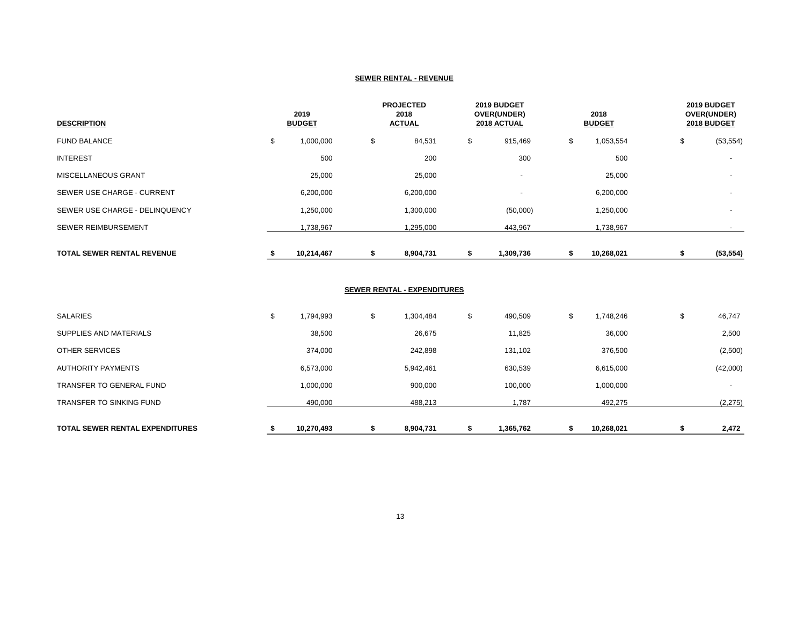#### **SEWER RENTAL - REVENUE**

| <b>DESCRIPTION</b>                |    | 2019<br><b>BUDGET</b> |    | <b>PROJECTED</b><br>2018<br><b>ACTUAL</b> |    | 2019 BUDGET<br>OVER(UNDER)<br><b>2018 ACTUAL</b> |    | 2018<br><b>BUDGET</b> |    | 2019 BUDGET<br>OVER(UNDER)<br>2018 BUDGET |  |
|-----------------------------------|----|-----------------------|----|-------------------------------------------|----|--------------------------------------------------|----|-----------------------|----|-------------------------------------------|--|
| <b>FUND BALANCE</b>               | \$ | 1,000,000             | \$ | 84,531                                    | \$ | 915,469                                          | \$ | 1,053,554             | \$ | (53, 554)                                 |  |
| <b>INTEREST</b>                   |    | 500                   |    | 200                                       |    | 300                                              |    | 500                   |    | $\overline{\phantom{a}}$                  |  |
| <b>MISCELLANEOUS GRANT</b>        |    | 25,000                |    | 25,000                                    |    | $\overline{\phantom{a}}$                         |    | 25,000                |    |                                           |  |
| SEWER USE CHARGE - CURRENT        |    | 6,200,000             |    | 6,200,000                                 |    | $\overline{\phantom{a}}$                         |    | 6,200,000             |    |                                           |  |
| SEWER USE CHARGE - DELINQUENCY    |    | 1,250,000             |    | 1,300,000                                 |    | (50,000)                                         |    | 1,250,000             |    |                                           |  |
| <b>SEWER REIMBURSEMENT</b>        |    | 1,738,967             |    | 1,295,000                                 |    | 443,967                                          |    | 1,738,967             |    |                                           |  |
| <b>TOTAL SEWER RENTAL REVENUE</b> |    | 10,214,467            |    | 8,904,731                                 |    | 1,309,736                                        |    | 10,268,021            |    | (53, 554)                                 |  |

## **SEWER RENTAL - EXPENDITURES**

| 490,000         | 488,213         | 1,787         | 492,275         | (2, 275)                 |
|-----------------|-----------------|---------------|-----------------|--------------------------|
| 1,000,000       | 900,000         | 100,000       | 1,000,000       | $\overline{\phantom{a}}$ |
| 6,573,000       | 5,942,461       | 630,539       | 6,615,000       | (42,000)                 |
| 374,000         | 242,898         | 131,102       | 376,500         | (2,500)                  |
| 38,500          | 26,675          | 11,825        | 36,000          | 2,500                    |
| \$<br>1,794,993 | \$<br>1,304,484 | \$<br>490,509 | \$<br>1,748,246 | \$<br>46,747             |
|                 |                 |               |                 |                          |